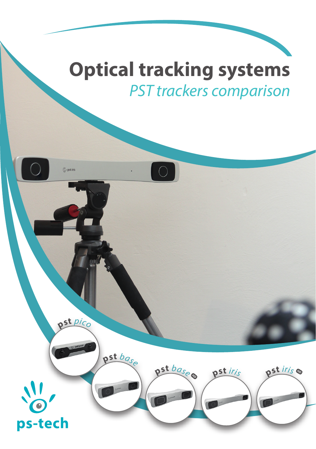